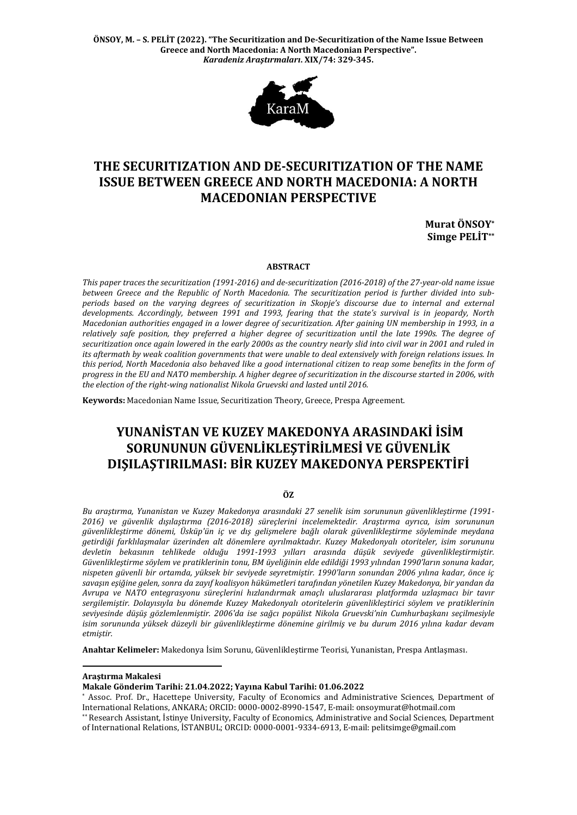**ÖNSOY, M. – S. PELİT (2022). "The Securitization and De-Securitization of the Name Issue Between Greece and North Macedonia: A North Macedonian Perspective".**  *Karadeniz Araştırmaları***. XIX/74: 329-345.**



# **THE SECURITIZATION AND DE-SECURITIZATION OF THE NAME ISSUE BETWEEN GREECE AND NORTH MACEDONIA: A NORTH MACEDONIAN PERSPECTIVE**

**Murat ÖNSOY\* Simge PELİT\*\***

#### **ABSTRACT**

*This paper traces the securitization (1991-2016) and de-securitization (2016-2018) of the 27-year-old name issue between Greece and the Republic of North Macedonia. The securitization period is further divided into subperiods based on the varying degrees of securitization in Skopje's discourse due to internal and external developments. Accordingly, between 1991 and 1993, fearing that the state's survival is in jeopardy, North Macedonian authorities engaged in a lower degree of securitization. After gaining UN membership in 1993, in a relatively safe position, they preferred a higher degree of securitization until the late 1990s. The degree of securitization once again lowered in the early 2000s as the country nearly slid into civil war in 2001 and ruled in its aftermath by weak coalition governments that were unable to deal extensively with foreign relations issues. In this period, North Macedonia also behaved like a good international citizen to reap some benefits in the form of progress in the EU and NATO membership. A higher degree of securitization in the discourse started in 2006, with the election of the right-wing nationalist Nikola Gruevski and lasted until 2016.* 

**Keywords:** Macedonian Name Issue, Securitization Theory, Greece, Prespa Agreement.

# **YUNANİSTAN VE KUZEY MAKEDONYA ARASINDAKİ İSİM SORUNUNUN GÜVENLİKLEŞTİRİLMESİ VE GÜVENLİK DIŞILAŞTIRILMASI: BİR KUZEY MAKEDONYA PERSPEKTİFİ**

#### **ÖZ**

*Bu araştırma, Yunanistan ve Kuzey Makedonya arasındaki 27 senelik isim sorununun güvenlikleştirme (1991- 2016) ve güvenlik dışılaştırma (2016-2018) süreçlerini incelemektedir. Araştırma ayrıca, isim sorununun güvenlikleştirme dönemi, Üsküp'ün iç ve dış gelişmelere bağlı olarak güvenlikleştirme söyleminde meydana getirdiği farklılaşmalar üzerinden alt dönemlere ayrılmaktadır. Kuzey Makedonyalı otoriteler, isim sorununu devletin bekasının tehlikede olduğu 1991-1993 yılları arasında düşük seviyede güvenlikleştirmiştir. Güvenlikleştirme söylem ve pratiklerinin tonu, BM üyeliğinin elde edildiği 1993 yılından 1990'ların sonuna kadar, nispeten güvenli bir ortamda, yüksek bir seviyede seyretmiştir. 1990'ların sonundan 2006 yılına kadar, önce iç savaşın eşiğine gelen, sonra da zayıf koalisyon hükümetleri tarafından yönetilen Kuzey Makedonya, bir yandan da Avrupa ve NATO entegrasyonu süreçlerini hızlandırmak amaçlı uluslararası platformda uzlaşmacı bir tavır sergilemiştir. Dolayısıyla bu dönemde Kuzey Makedonyalı otoritelerin güvenlikleştirici söylem ve pratiklerinin seviyesinde düşüş gözlemlenmiştir. 2006'da ise sağcı popülist Nikola Gruevski'nin Cumhurbaşkanı seçilmesiyle isim sorununda yüksek düzeyli bir güvenlikleştirme dönemine girilmiş ve bu durum 2016 yılına kadar devam etmiştir.*

**Anahtar Kelimeler:** Makedonya İsim Sorunu, Güvenlikleştirme Teorisi, Yunanistan, Prespa Antlaşması.

**Araştırma Makalesi**

**.** 

\* Assoc. Prof. Dr., Hacettepe University, Faculty of Economics and Administrative Sciences, Department of International Relations, ANKARA; ORCID: 0000-0002-8990-1547, E-mail: [onsoymurat@hotmail.com](mailto:onsoymurat@hotmail.com)

**Makale Gönderim Tarihi: 21.04.2022; Yayına Kabul Tarihi: 01.06.2022**

<sup>\*\*</sup> Research Assistant, İstinye University, Faculty of Economics, Administrative and Social Sciences, Department of International Relations, İSTANBUL; ORCID: 0000-0001-9334-6913, E-mail: pelitsimge@gmail.com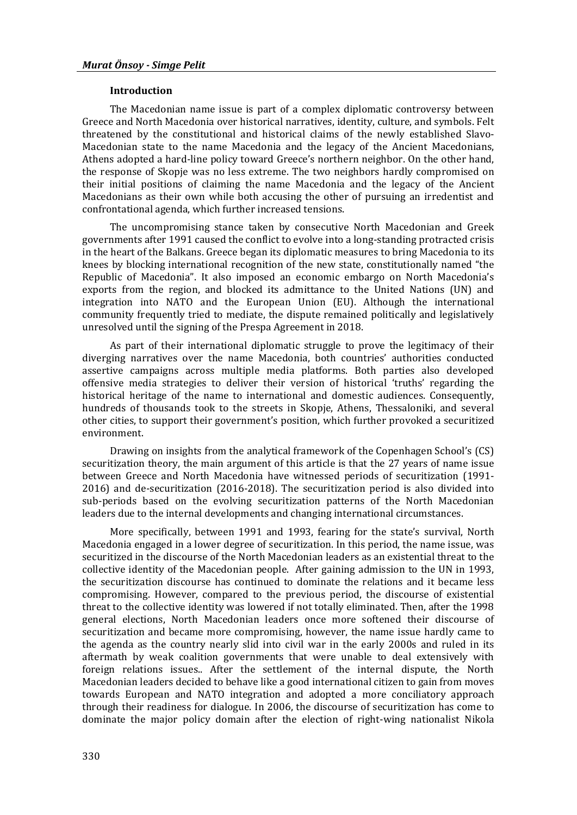### **Introduction**

The Macedonian name issue is part of a complex diplomatic controversy between Greece and North Macedonia over historical narratives, identity, culture, and symbols. Felt threatened by the constitutional and historical claims of the newly established Slavo-Macedonian state to the name Macedonia and the legacy of the Ancient Macedonians, Athens adopted a hard-line policy toward Greece's northern neighbor. On the other hand, the response of Skopje was no less extreme. The two neighbors hardly compromised on their initial positions of claiming the name Macedonia and the legacy of the Ancient Macedonians as their own while both accusing the other of pursuing an irredentist and confrontational agenda, which further increased tensions.

The uncompromising stance taken by consecutive North Macedonian and Greek governments after 1991 caused the conflict to evolve into a long-standing protracted crisis in the heart of the Balkans. Greece began its diplomatic measures to bring Macedonia to its knees by blocking international recognition of the new state, constitutionally named "the Republic of Macedonia". It also imposed an economic embargo on North Macedonia's exports from the region, and blocked its admittance to the United Nations (UN) and integration into NATO and the European Union (EU). Although the international community frequently tried to mediate, the dispute remained politically and legislatively unresolved until the signing of the Prespa Agreement in 2018.

As part of their international diplomatic struggle to prove the legitimacy of their diverging narratives over the name Macedonia, both countries' authorities conducted assertive campaigns across multiple media platforms. Both parties also developed offensive media strategies to deliver their version of historical 'truths' regarding the historical heritage of the name to international and domestic audiences. Consequently, hundreds of thousands took to the streets in Skopje, Athens, Thessaloniki, and several other cities, to support their government's position, which further provoked a securitized environment.

Drawing on insights from the analytical framework of the Copenhagen School's (CS) securitization theory, the main argument of this article is that the 27 years of name issue between Greece and North Macedonia have witnessed periods of securitization (1991- 2016) and de-securitization (2016-2018). The securitization period is also divided into sub-periods based on the evolving securitization patterns of the North Macedonian leaders due to the internal developments and changing international circumstances.

More specifically, between 1991 and 1993, fearing for the state's survival, North Macedonia engaged in a lower degree of securitization. In this period, the name issue, was securitized in the discourse of the North Macedonian leaders as an existential threat to the collective identity of the Macedonian people. After gaining admission to the UN in 1993, the securitization discourse has continued to dominate the relations and it became less compromising. However, compared to the previous period, the discourse of existential threat to the collective identity was lowered if not totally eliminated. Then, after the 1998 general elections, North Macedonian leaders once more softened their discourse of securitization and became more compromising, however, the name issue hardly came to the agenda as the country nearly slid into civil war in the early 2000s and ruled in its aftermath by weak coalition governments that were unable to deal extensively with foreign relations issues.. After the settlement of the internal dispute, the North Macedonian leaders decided to behave like a good international citizen to gain from moves towards European and NATO integration and adopted a more conciliatory approach through their readiness for dialogue. In 2006, the discourse of securitization has come to dominate the major policy domain after the election of right-wing nationalist Nikola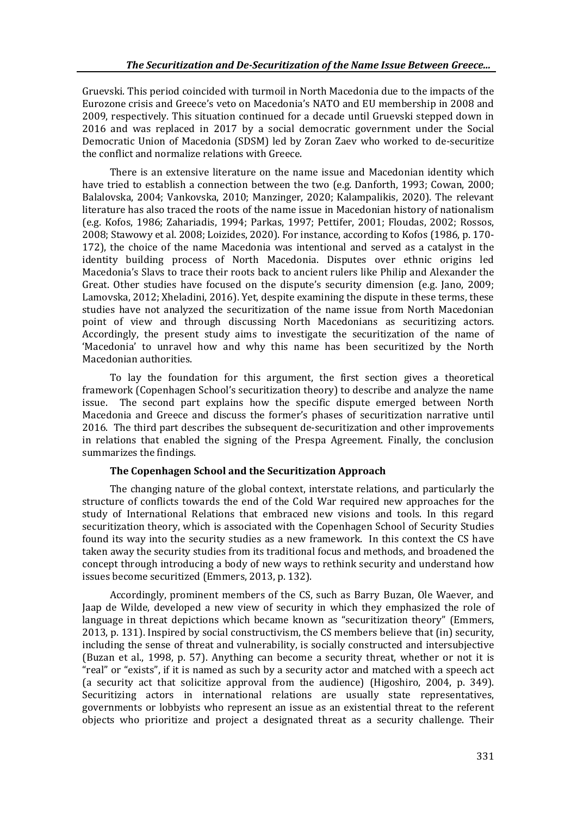Gruevski. This period coincided with turmoil in North Macedonia due to the impacts of the Eurozone crisis and Greece's veto on Macedonia's NATO and EU membership in 2008 and 2009, respectively. This situation continued for a decade until Gruevski stepped down in 2016 and was replaced in 2017 by a social democratic government under the Social Democratic Union of Macedonia (SDSM) led by Zoran Zaev who worked to de-securitize the conflict and normalize relations with Greece.

There is an extensive literature on the name issue and Macedonian identity which have tried to establish a connection between the two (e.g. Danforth, 1993; Cowan, 2000; Balalovska, 2004; Vankovska, 2010; Manzinger, 2020; Kalampalikis, 2020). The relevant literature has also traced the roots of the name issue in Macedonian history of nationalism (e.g. Kofos, 1986; Zahariadis, 1994; Parkas, 1997; Pettifer, 2001; Floudas, 2002; Rossos, 2008; Stawowy et al. 2008; Loizides, 2020). For instance, according to Kofos (1986, p. 170- 172), the choice of the name Macedonia was intentional and served as a catalyst in the identity building process of North Macedonia. Disputes over ethnic origins led Macedonia's Slavs to trace their roots back to ancient rulers like Philip and Alexander the Great. Other studies have focused on the dispute's security dimension (e.g. Jano, 2009; Lamovska, 2012; Xheladini, 2016). Yet, despite examining the dispute in these terms, these studies have not analyzed the securitization of the name issue from North Macedonian point of view and through discussing North Macedonians as securitizing actors. Accordingly, the present study aims to investigate the securitization of the name of 'Macedonia' to unravel how and why this name has been securitized by the North Macedonian authorities.

To lay the foundation for this argument, the first section gives a theoretical framework (Copenhagen School's securitization theory) to describe and analyze the name issue. The second part explains how the specific dispute emerged between North Macedonia and Greece and discuss the former's phases of securitization narrative until 2016. The third part describes the subsequent de-securitization and other improvements in relations that enabled the signing of the Prespa Agreement. Finally, the conclusion summarizes the findings.

## **The Copenhagen School and the Securitization Approach**

The changing nature of the global context, interstate relations, and particularly the structure of conflicts towards the end of the Cold War required new approaches for the study of International Relations that embraced new visions and tools. In this regard securitization theory, which is associated with the Copenhagen School of Security Studies found its way into the security studies as a new framework. In this context the CS have taken away the security studies from its traditional focus and methods, and broadened the concept through introducing a body of new ways to rethink security and understand how issues become securitized (Emmers, 2013, p. 132).

Accordingly, prominent members of the CS, such as Barry Buzan, Ole Waever, and Jaap de Wilde, developed a new view of security in which they emphasized the role of language in threat depictions which became known as "securitization theory" (Emmers, 2013, p. 131). Inspired by social constructivism, the CS members believe that (in) security, including the sense of threat and vulnerability, is socially constructed and intersubjective (Buzan et al., 1998, p. 57). Anything can become a security threat, whether or not it is "real" or "exists", if it is named as such by a security actor and matched with a speech act (a security act that solicitize approval from the audience) (Higoshiro, 2004, p. 349). Securitizing actors in international relations are usually state representatives, governments or lobbyists who represent an issue as an existential threat to the referent objects who prioritize and project a designated threat as a security challenge. Their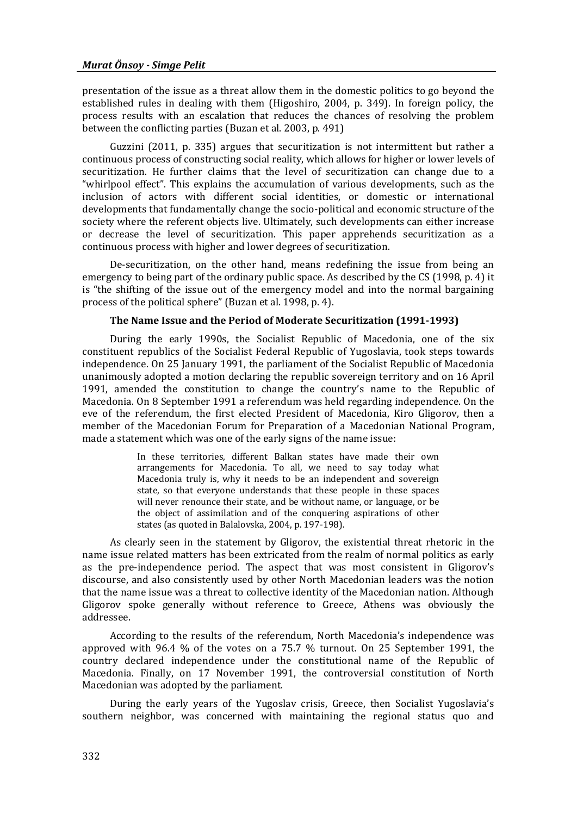presentation of the issue as a threat allow them in the domestic politics to go beyond the established rules in dealing with them (Higoshiro, 2004, p. 349). In foreign policy, the process results with an escalation that reduces the chances of resolving the problem between the conflicting parties (Buzan et al. 2003, p. 491)

Guzzini (2011, p. 335) argues that securitization is not intermittent but rather a continuous process of constructing social reality, which allows for higher or lower levels of securitization. He further claims that the level of securitization can change due to a "whirlpool effect". This explains the accumulation of various developments, such as the inclusion of actors with different social identities, or domestic or international developments that fundamentally change the socio-political and economic structure of the society where the referent objects live. Ultimately, such developments can either increase or decrease the level of securitization. This paper apprehends securitization as a continuous process with higher and lower degrees of securitization.

De-securitization, on the other hand, means redefining the issue from being an emergency to being part of the ordinary public space. As described by the CS (1998, p. 4) it is "the shifting of the issue out of the emergency model and into the normal bargaining process of the political sphere" (Buzan et al. 1998, p. 4).

#### **The Name Issue and the Period of Moderate Securitization (1991-1993)**

During the early 1990s, the Socialist Republic of Macedonia, one of the six constituent republics of the Socialist Federal Republic of Yugoslavia, took steps towards independence. On 25 January 1991, the parliament of the Socialist Republic of Macedonia unanimously adopted a motion declaring the republic sovereign territory and on 16 April 1991, amended the constitution to change the country's name to the Republic of Macedonia. On 8 September 1991 a referendum was held regarding independence. On the eve of the referendum, the first elected President of Macedonia, Kiro Gligorov, then a member of the Macedonian Forum for Preparation of a Macedonian National Program, made a statement which was one of the early signs of the name issue:

> In these territories, different Balkan states have made their own arrangements for Macedonia. To all, we need to say today what Macedonia truly is, why it needs to be an independent and sovereign state, so that everyone understands that these people in these spaces will never renounce their state, and be without name, or language, or be the object of assimilation and of the conquering aspirations of other states (as quoted in Balalovska, 2004, p. 197-198).

As clearly seen in the statement by Gligorov, the existential threat rhetoric in the name issue related matters has been extricated from the realm of normal politics as early as the pre-independence period. The aspect that was most consistent in Gligorov's discourse, and also consistently used by other North Macedonian leaders was the notion that the name issue was a threat to collective identity of the Macedonian nation. Although Gligorov spoke generally without reference to Greece, Athens was obviously the addressee.

According to the results of the referendum, North Macedonia's independence was approved with 96.4 % of the votes on a 75.7 % turnout. On 25 September 1991, the country declared independence under the constitutional name of the Republic of Macedonia. Finally, on 17 November 1991, the controversial constitution of North Macedonian was adopted by the parliament.

During the early years of the Yugoslav crisis, Greece, then Socialist Yugoslavia's southern neighbor, was concerned with maintaining the regional status quo and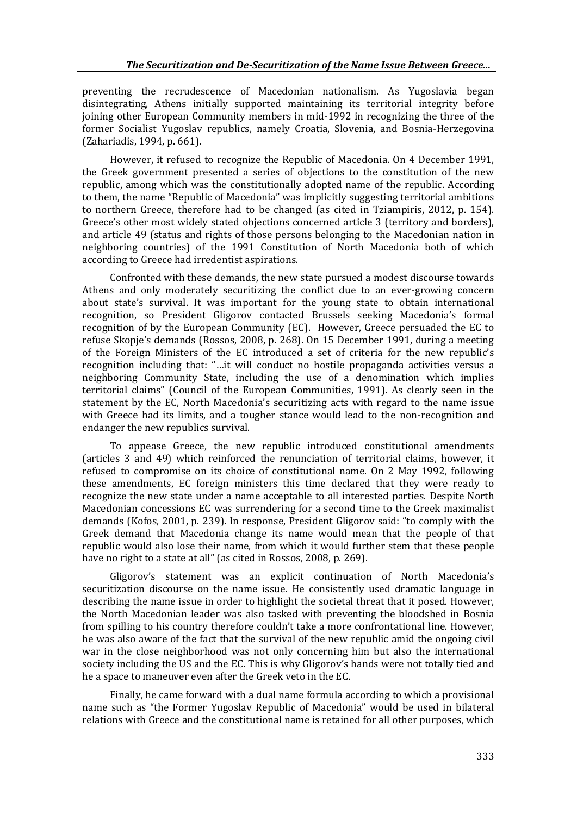preventing the recrudescence of Macedonian nationalism. As Yugoslavia began disintegrating, Athens initially supported maintaining its territorial integrity before joining other European Community members in mid-1992 in recognizing the three of the former Socialist Yugoslav republics, namely Croatia, Slovenia, and Bosnia-Herzegovina (Zahariadis, 1994, p. 661).

However, it refused to recognize the Republic of Macedonia. On 4 December 1991, the Greek government presented a series of objections to the constitution of the new republic, among which was the constitutionally adopted name of the republic. According to them, the name "Republic of Macedonia" was implicitly suggesting territorial ambitions to northern Greece, therefore had to be changed (as cited in Tziampiris, 2012, p. 154). Greece's other most widely stated objections concerned article 3 (territory and borders), and article 49 (status and rights of those persons belonging to the Macedonian nation in neighboring countries) of the 1991 Constitution of North Macedonia both of which according to Greece had irredentist aspirations.

Confronted with these demands, the new state pursued a modest discourse towards Athens and only moderately securitizing the conflict due to an ever-growing concern about state's survival. It was important for the young state to obtain international recognition, so President Gligorov contacted Brussels seeking Macedonia's formal recognition of by the European Community (EC). However, Greece persuaded the EC to refuse Skopje's demands (Rossos, 2008, p. 268). On 15 December 1991, during a meeting of the Foreign Ministers of the EC introduced a set of criteria for the new republic's recognition including that: "…it will conduct no hostile propaganda activities versus a neighboring Community State, including the use of a denomination which implies territorial claims" (Council of the European Communities, 1991). As clearly seen in the statement by the EC, North Macedonia's securitizing acts with regard to the name issue with Greece had its limits, and a tougher stance would lead to the non-recognition and endanger the new republics survival.

To appease Greece, the new republic introduced constitutional amendments (articles 3 and 49) which reinforced the renunciation of territorial claims, however, it refused to compromise on its choice of constitutional name. On 2 May 1992, following these amendments, EC foreign ministers this time declared that they were ready to recognize the new state under a name acceptable to all interested parties. Despite North Macedonian concessions EC was surrendering for a second time to the Greek maximalist demands (Kofos, 2001, p. 239). In response, President Gligorov said: "to comply with the Greek demand that Macedonia change its name would mean that the people of that republic would also lose their name, from which it would further stem that these people have no right to a state at all" (as cited in Rossos, 2008, p. 269).

Gligorov's statement was an explicit continuation of North Macedonia's securitization discourse on the name issue. He consistently used dramatic language in describing the name issue in order to highlight the societal threat that it posed. However, the North Macedonian leader was also tasked with preventing the bloodshed in Bosnia from spilling to his country therefore couldn't take a more confrontational line. However, he was also aware of the fact that the survival of the new republic amid the ongoing civil war in the close neighborhood was not only concerning him but also the international society including the US and the EC. This is why Gligorov's hands were not totally tied and he a space to maneuver even after the Greek veto in the EC.

Finally, he came forward with a dual name formula according to which a provisional name such as "the Former Yugoslav Republic of Macedonia" would be used in bilateral relations with Greece and the constitutional name is retained for all other purposes, which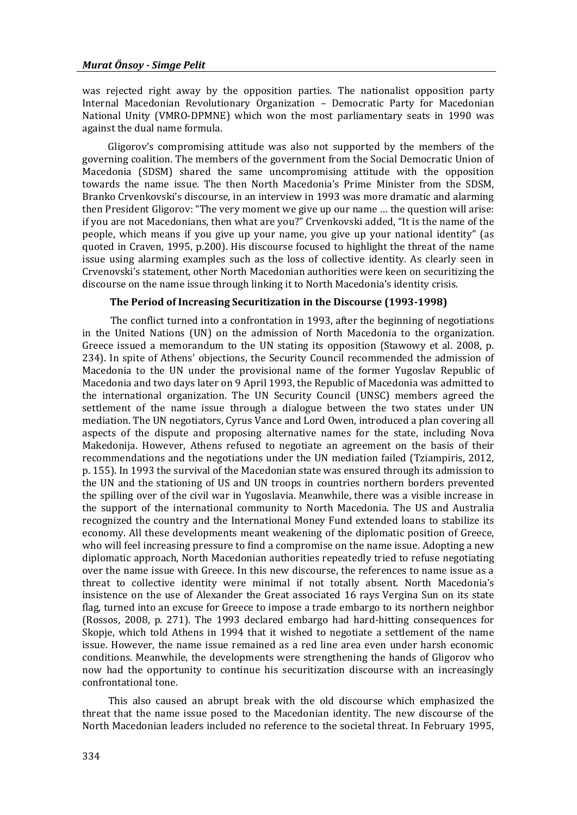was rejected right away by the opposition parties. The nationalist opposition party Internal Macedonian Revolutionary Organization – Democratic Party for Macedonian National Unity (VMRO-DPMNE) which won the most parliamentary seats in 1990 was against the dual name formula.

 Gligorov's compromising attitude was also not supported by the members of the governing coalition. The members of the government from the Social Democratic Union of Macedonia (SDSM) shared the same uncompromising attitude with the opposition towards the name issue. The then North Macedonia's Prime Minister from the SDSM, Branko Crvenkovski's discourse, in an interview in 1993 was more dramatic and alarming then President Gligorov: "The very moment we give up our name … the question will arise: if you are not Macedonians, then what are you?" Crvenkovski added, "It is the name of the people, which means if you give up your name, you give up your national identity" (as quoted in Craven, 1995, p.200). His discourse focused to highlight the threat of the name issue using alarming examples such as the loss of collective identity. As clearly seen in Crvenovski's statement, other North Macedonian authorities were keen on securitizing the discourse on the name issue through linking it to North Macedonia's identity crisis.

### **The Period of Increasing Securitization in the Discourse (1993-1998)**

 The conflict turned into a confrontation in 1993, after the beginning of negotiations in the United Nations (UN) on the admission of North Macedonia to the organization. Greece issued a memorandum to the UN stating its opposition (Stawowy et al. 2008, p. 234). In spite of Athens' objections, the Security Council recommended the admission of Macedonia to the UN under the provisional name of the former Yugoslav Republic of Macedonia and two days later on 9 April 1993, the Republic of Macedonia was admitted to the international organization. The UN Security Council (UNSC) members agreed the settlement of the name issue through a dialogue between the two states under UN mediation. The UN negotiators, Cyrus Vance and Lord Owen, introduced a plan covering all aspects of the dispute and proposing alternative names for the state, including Nova Makedonija. However, Athens refused to negotiate an agreement on the basis of their recommendations and the negotiations under the UN mediation failed (Tziampiris, 2012, p. 155). In 1993 the survival of the Macedonian state was ensured through its admission to the UN and the stationing of US and UN troops in countries northern borders prevented the spilling over of the civil war in Yugoslavia. Meanwhile, there was a visible increase in the support of the international community to North Macedonia. The US and Australia recognized the country and the International Money Fund extended loans to stabilize its economy. All these developments meant weakening of the diplomatic position of Greece, who will feel increasing pressure to find a compromise on the name issue. Adopting a new diplomatic approach, North Macedonian authorities repeatedly tried to refuse negotiating over the name issue with Greece. In this new discourse, the references to name issue as a threat to collective identity were minimal if not totally absent. North Macedonia's insistence on the use of Alexander the Great associated 16 rays Vergina Sun on its state flag, turned into an excuse for Greece to impose a trade embargo to its northern neighbor (Rossos, 2008, p. 271). The 1993 declared embargo had hard-hitting consequences for Skopje, which told Athens in 1994 that it wished to negotiate a settlement of the name issue. However, the name issue remained as a red line area even under harsh economic conditions. Meanwhile, the developments were strengthening the hands of Gligorov who now had the opportunity to continue his securitization discourse with an increasingly confrontational tone.

 This also caused an abrupt break with the old discourse which emphasized the threat that the name issue posed to the Macedonian identity. The new discourse of the North Macedonian leaders included no reference to the societal threat. In February 1995,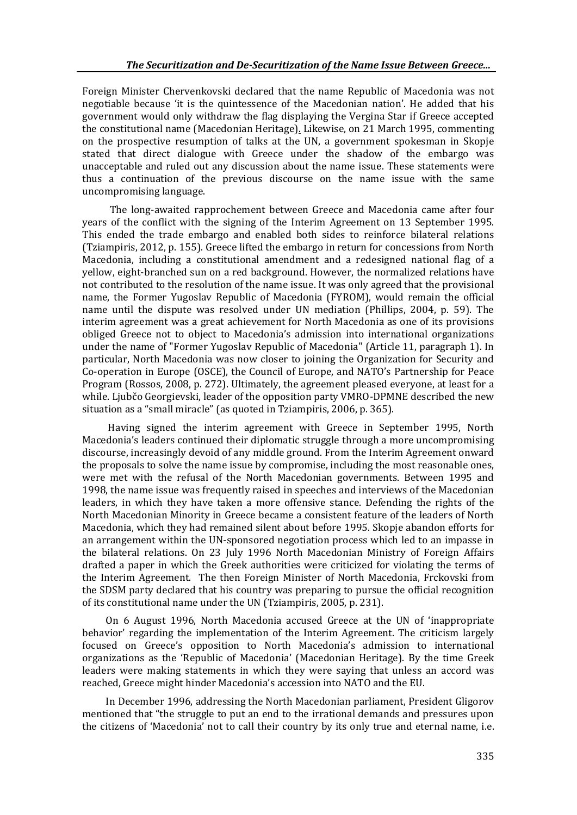Foreign Minister Chervenkovski declared that the name Republic of Macedonia was not negotiable because 'it is the quintessence of the Macedonian nation'. He added that his government would only withdraw the flag displaying the Vergina Star if Greece accepted the constitutional name [\(Macedonian Heritage\).](http://www.macedonian-heritage.gr/timeline.html)) Likewise, on 21 March 1995, commenting on the prospective resumption of talks at the UN, a government spokesman in Skopje stated that direct dialogue with Greece under the shadow of the embargo was unacceptable and ruled out any discussion about the name issue. These statements were thus a continuation of the previous discourse on the name issue with the same uncompromising language.

The long-awaited rapprochement between Greece and Macedonia came after four years of the conflict with the signing of the Interim Agreement on 13 September 1995. This ended the trade embargo and enabled both sides to reinforce bilateral relations (Tziampiris, 2012, p. 155). Greece lifted the embargo in return for concessions from North Macedonia, including a constitutional amendment and a redesigned national flag of a yellow, eight-branched sun on a red background. However, the normalized relations have not contributed to the resolution of the name issue. It was only agreed that the provisional name, the Former Yugoslav Republic of Macedonia (FYROM), would remain the official name until the dispute was resolved under UN mediation (Phillips, 2004, p. 59). The interim agreement was a great achievement for North Macedonia as one of its provisions obliged Greece not to object to Macedonia's admission into international organizations under the name of "Former Yugoslav Republic of Macedonia" (Article 11, paragraph 1). In particular, North Macedonia was now closer to joining the Organization for Security and Co-operation in Europe (OSCE), the Council of Europe, and NATO's Partnership for Peace Program (Rossos, 2008, p. 272). Ultimately, the agreement pleased everyone, at least for a while. Ljubčo Georgievski, leader of the opposition party VMRO-DPMNE described the new situation as a "small miracle" (as quoted in Tziampiris, 2006, p. 365).

 Having signed the interim agreement with Greece in September 1995, North Macedonia's leaders continued their diplomatic struggle through a more uncompromising discourse, increasingly devoid of any middle ground. From the Interim Agreement onward the proposals to solve the name issue by compromise, including the most reasonable ones, were met with the refusal of the North Macedonian governments. Between 1995 and 1998, the name issue was frequently raised in speeches and interviews of the Macedonian leaders, in which they have taken a more offensive stance. Defending the rights of the North Macedonian Minority in Greece became a consistent feature of the leaders of North Macedonia, which they had remained silent about before 1995. Skopje abandon efforts for an arrangement within the UN-sponsored negotiation process which led to an impasse in the bilateral relations. On 23 July 1996 North Macedonian Ministry of Foreign Affairs drafted a paper in which the Greek authorities were criticized for violating the terms of the Interim Agreement. The then Foreign Minister of North Macedonia, Frckovski from the SDSM party declared that his country was preparing to pursue the official recognition of its constitutional name under the UN (Tziampiris, 2005, p. 231).

 On 6 August 1996, North Macedonia accused Greece at the UN of 'inappropriate behavior' regarding the implementation of the Interim Agreement. The criticism largely focused on Greece's opposition to North Macedonia's admission to international organizations as the 'Republic of Macedonia' (Macedonian Heritage). By the time Greek leaders were making statements in which they were saying that unless an accord was reached, Greece might hinder Macedonia's accession into NATO and the EU.

 In December 1996, addressing the North Macedonian parliament, President Gligorov mentioned that "the struggle to put an end to the irrational demands and pressures upon the citizens of 'Macedonia' not to call their country by its only true and eternal name, i.e.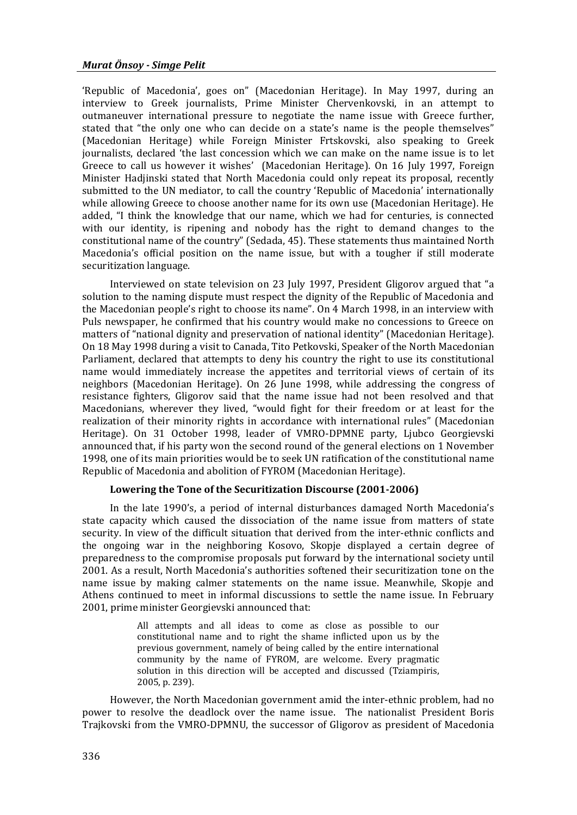'Republic of Macedonia', goes on" (Macedonian Heritage). In May 1997, during an interview to Greek journalists, Prime Minister Chervenkovski, in an attempt to outmaneuver international pressure to negotiate the name issue with Greece further, stated that "the only one who can decide on a state's name is the people themselves" (Macedonian Heritage) while Foreign Minister Frtskovski, also speaking to Greek journalists, declared 'the last concession which we can make on the name issue is to let Greece to call us however it wishes' (Macedonian Heritage). On 16 July 1997, Foreign Minister Hadjinski stated that North Macedonia could only repeat its proposal, recently submitted to the UN mediator, to call the country 'Republic of Macedonia' internationally while allowing Greece to choose another name for its own use (Macedonian Heritage). He added, "I think the knowledge that our name, which we had for centuries, is connected with our identity, is ripening and nobody has the right to demand changes to the constitutional name of the country" (Sedada, 45). These statements thus maintained North Macedonia's official position on the name issue, but with a tougher if still moderate securitization language.

Interviewed on state television on 23 July 1997, President Gligorov argued that "a solution to the naming dispute must respect the dignity of the Republic of Macedonia and the Macedonian people's right to choose its name". On 4 March 1998, in an interview with Puls newspaper, he confirmed that his country would make no concessions to Greece on matters of "national dignity and preservation of national identity" (Macedonian Heritage). On 18 May 1998 during a visit to Canada, Tito Petkovski, Speaker of the North Macedonian Parliament, declared that attempts to deny his country the right to use its constitutional name would immediately increase the appetites and territorial views of certain of its neighbors (Macedonian Heritage). On 26 June 1998, while addressing the congress of resistance fighters, Gligorov said that the name issue had not been resolved and that Macedonians, wherever they lived, "would fight for their freedom or at least for the realization of their minority rights in accordance with international rules" (Macedonian Heritage). On 31 October 1998, leader of VMRO-DPMNE party, Ljubco Georgievski announced that, if his party won the second round of the general elections on 1 November 1998, one of its main priorities would be to seek UN ratification of the constitutional name Republic of Macedonia and abolition of FYROM (Macedonian Heritage).

## **Lowering the Tone of the Securitization Discourse (2001-2006)**

In the late 1990's, a period of internal disturbances damaged North Macedonia's state capacity which caused the dissociation of the name issue from matters of state security. In view of the difficult situation that derived from the inter-ethnic conflicts and the ongoing war in the neighboring Kosovo, Skopje displayed a certain degree of preparedness to the compromise proposals put forward by the international society until 2001. As a result, North Macedonia's authorities softened their securitization tone on the name issue by making calmer statements on the name issue. Meanwhile, Skopje and Athens continued to meet in informal discussions to settle the name issue. In February 2001, prime minister Georgievski announced that:

> All attempts and all ideas to come as close as possible to our constitutional name and to right the shame inflicted upon us by the previous government, namely of being called by the entire international community by the name of FYROM, are welcome. Every pragmatic solution in this direction will be accepted and discussed (Tziampiris, 2005, p. 239).

However, the North Macedonian government amid the inter-ethnic problem, had no power to resolve the deadlock over the name issue. The nationalist President Boris Trajkovski from the VMRO-DPMNU, the successor of Gligorov as president of Macedonia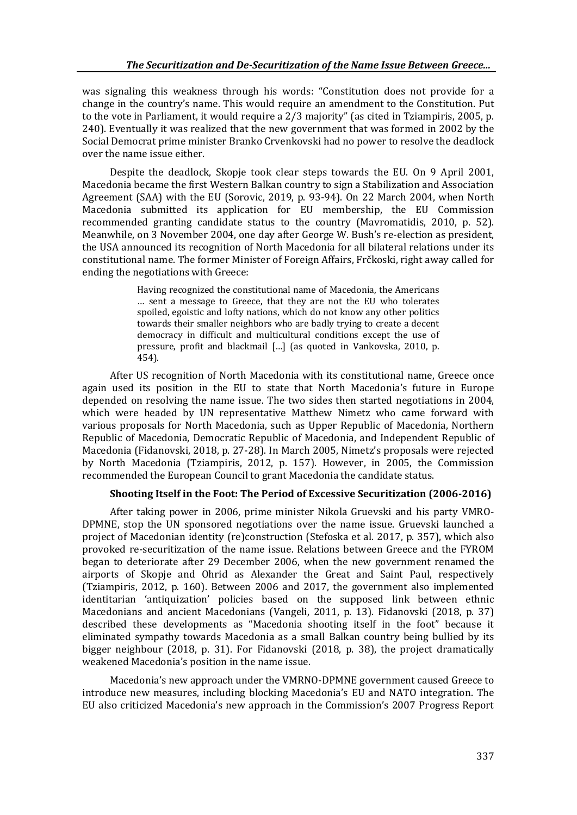was signaling this weakness through his words: "Constitution does not provide for a change in the country's name. This would require an amendment to the Constitution. Put to the vote in Parliament, it would require a 2/3 majority" (as cited in Tziampiris, 2005, p. 240). Eventually it was realized that the new government that was formed in 2002 by the Social Democrat prime minister Branko Crvenkovski had no power to resolve the deadlock over the name issue either.

Despite the deadlock, Skopje took clear steps towards the EU. On 9 April 2001, Macedonia became the first Western Balkan country to sign a Stabilization and Association Agreement (SAA) with the EU (Sorovic, 2019, p. 93-94). On 22 March 2004, when North Macedonia submitted its application for EU membership, the EU Commission recommended granting candidate status to the country (Mavromatidis, 2010, p. 52). Meanwhile, on 3 November 2004, one day after George W. Bush's re-election as president, the USA announced its recognition of North Macedonia for all bilateral relations under its constitutional name. The former Minister of Foreign Affairs, Frčkoski, right away called for ending the negotiations with Greece:

> Having recognized the constitutional name of Macedonia, the Americans … sent a message to Greece, that they are not the EU who tolerates spoiled, egoistic and lofty nations, which do not know any other politics towards their smaller neighbors who are badly trying to create a decent democracy in difficult and multicultural conditions except the use of pressure, profit and blackmail […] (as quoted in Vankovska, 2010, p. 454).

After US recognition of North Macedonia with its constitutional name, Greece once again used its position in the EU to state that North Macedonia's future in Europe depended on resolving the name issue. The two sides then started negotiations in 2004, which were headed by UN representative Matthew Nimetz who came forward with various proposals for North Macedonia, such as Upper Republic of Macedonia, Northern Republic of Macedonia, Democratic Republic of Macedonia, and Independent Republic of Macedonia (Fidanovski, 2018, p. 27-28). In March 2005, Nimetz's proposals were rejected by North Macedonia (Tziampiris, 2012, p. 157). However, in 2005, the Commission recommended the European Council to grant Macedonia the candidate status.

### **Shooting Itself in the Foot: The Period of Excessive Securitization (2006-2016)**

After taking power in 2006, prime minister Nikola Gruevski and his party VMRO-DPMNE, stop the UN sponsored negotiations over the name issue. Gruevski launched a project of Macedonian identity (re)construction (Stefoska et al. 2017, p. 357), which also provoked re-securitization of the name issue. Relations between Greece and the FYROM began to deteriorate after 29 December 2006, when the new government renamed the airports of Skopje and Ohrid as Alexander the Great and Saint Paul, respectively (Tziampiris, 2012, p. 160). Between 2006 and 2017, the government also implemented identitarian 'antiquization' policies based on the supposed link between ethnic Macedonians and ancient Macedonians (Vangeli, 2011, p. 13). Fidanovski (2018, p. 37) described these developments as "Macedonia shooting itself in the foot" because it eliminated sympathy towards Macedonia as a small Balkan country being bullied by its bigger neighbour (2018, p. 31). For Fidanovski (2018, p. 38), the project dramatically weakened Macedonia's position in the name issue.

Macedonia's new approach under the VMRNO-DPMNE government caused Greece to introduce new measures, including blocking Macedonia's EU and NATO integration. The EU also criticized Macedonia's new approach in the Commission's 2007 Progress Report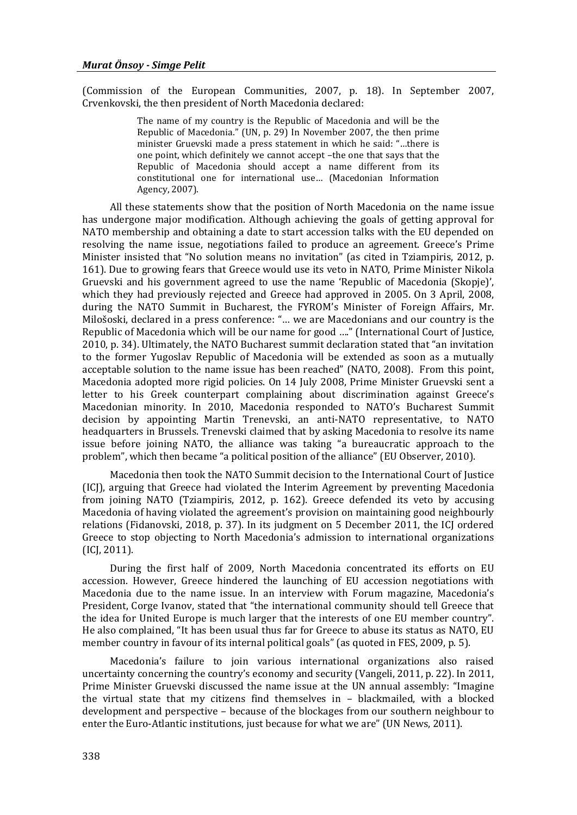(Commission of the European Communities, 2007, p. 18). In September 2007, Crvenkovski, the then president of North Macedonia declared:

> The name of my country is the Republic of Macedonia and will be the Republic of Macedonia." (UN, p. 29) In November 2007, the then prime minister Gruevski made a press statement in which he said: "…there is one point, which definitely we cannot accept –the one that says that the Republic of Macedonia should accept a name different from its constitutional one for international use… (Macedonian Information Agency, 2007).

All these statements show that the position of North Macedonia on the name issue has undergone major modification. Although achieving the goals of getting approval for NATO membership and obtaining a date to start accession talks with the EU depended on resolving the name issue, negotiations failed to produce an agreement. Greece's Prime Minister insisted that "No solution means no invitation" (as cited in Tziampiris, 2012, p. 161). Due to growing fears that Greece would use its veto in NATO, Prime Minister Nikola Gruevski and his government agreed to use the name 'Republic of Macedonia (Skopje)', which they had previously rejected and Greece had approved in 2005. On 3 April, 2008, during the NATO Summit in Bucharest, the FYROM's Minister of Foreign Affairs, Mr. Milošoski, declared in a press conference: "… we are Macedonians and our country is the Republic of Macedonia which will be our name for good …." (International Court of Justice, 2010, p. 34). Ultimately, the NATO Bucharest summit declaration stated that "an invitation to the former Yugoslav Republic of Macedonia will be extended as soon as a mutually acceptable solution to the name issue has been reached" (NATO, 2008). From this point, Macedonia adopted more rigid policies. On 14 July 2008, Prime Minister Gruevski sent a letter to his Greek counterpart complaining about discrimination against Greece's Macedonian minority. In 2010, Macedonia responded to NATO's Bucharest Summit decision by appointing Martin Trenevski, an anti-NATO representative, to NATO headquarters in Brussels. Trenevski claimed that by asking Macedonia to resolve its name issue before joining NATO, the alliance was taking "a bureaucratic approach to the problem", which then became "a political position of the alliance" (EU Observer, 2010).

Macedonia then took the NATO Summit decision to the International Court of Justice (ICJ), arguing that Greece had violated the Interim Agreement by preventing Macedonia from joining NATO (Tziampiris, 2012, p. 162). Greece defended its veto by accusing Macedonia of having violated the agreement's provision on maintaining good neighbourly relations (Fidanovski, 2018, p. 37). In its judgment on 5 December 2011, the ICJ ordered Greece to stop objecting to North Macedonia's admission to international organizations (ICJ, 2011).

During the first half of 2009, North Macedonia concentrated its efforts on EU accession. However, Greece hindered the launching of EU accession negotiations with Macedonia due to the name issue. In an interview with Forum magazine, Macedonia's President, Corge Ivanov, stated that "the international community should tell Greece that the idea for United Europe is much larger that the interests of one EU member country". He also complained, "It has been usual thus far for Greece to abuse its status as NATO, EU member country in favour of its internal political goals" (as quoted in FES, 2009, p. 5).

Macedonia's failure to join various international organizations also raised uncertainty concerning the country's economy and security (Vangeli, 2011, p. 22). In 2011, Prime Minister Gruevski discussed the name issue at the UN annual assembly: "Imagine the virtual state that my citizens find themselves in – blackmailed, with a blocked development and perspective – because of the blockages from our southern neighbour to enter the Euro-Atlantic institutions, just because for what we are" (UN News, 2011).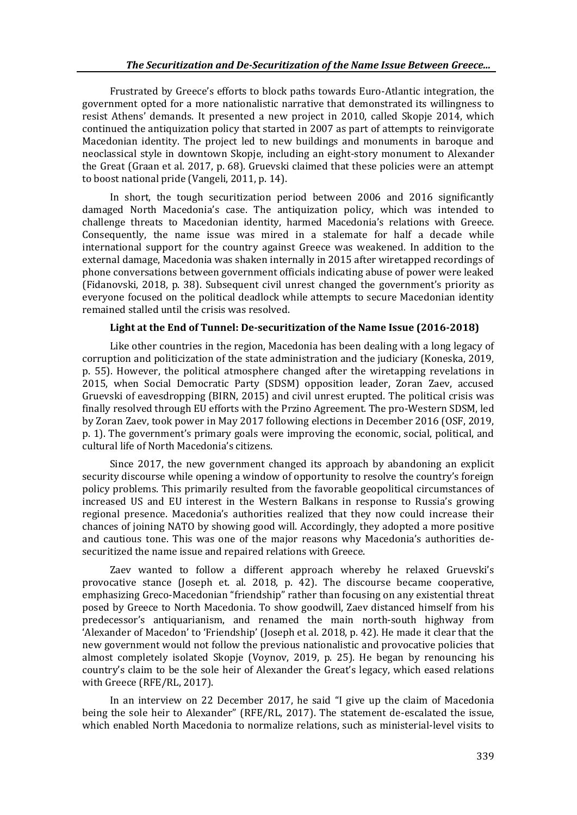Frustrated by Greece's efforts to block paths towards Euro-Atlantic integration, the government opted for a more nationalistic narrative that demonstrated its willingness to resist Athens' demands. It presented a new project in 2010, called Skopje 2014, which continued the antiquization policy that started in 2007 as part of attempts to reinvigorate Macedonian identity. The project led to new buildings and monuments in baroque and neoclassical style in downtown Skopje, including an eight-story monument to Alexander the Great (Graan et al. 2017, p. 68). Gruevski claimed that these policies were an attempt to boost national pride (Vangeli, 2011, p. 14).

In short, the tough securitization period between 2006 and 2016 significantly damaged North Macedonia's case. The antiquization policy, which was intended to challenge threats to Macedonian identity, harmed Macedonia's relations with Greece. Consequently, the name issue was mired in a stalemate for half a decade while international support for the country against Greece was weakened. In addition to the external damage, Macedonia was shaken internally in 2015 after wiretapped recordings of phone conversations between government officials indicating abuse of power were leaked (Fidanovski, 2018, p. 38). Subsequent civil unrest changed the government's priority as everyone focused on the political deadlock while attempts to secure Macedonian identity remained stalled until the crisis was resolved.

## **Light at the End of Tunnel: De-securitization of the Name Issue (2016-2018)**

Like other countries in the region, Macedonia has been dealing with a long legacy of corruption and politicization of the state administration and the judiciary (Koneska, 2019, p. 55). However, the political atmosphere changed after the wiretapping revelations in 2015, when Social Democratic Party (SDSM) opposition leader, Zoran Zaev, accused Gruevski of eavesdropping (BIRN, 2015) and civil unrest erupted. The political crisis was finally resolved through EU efforts with the Przino Agreement. The pro-Western SDSM, led by Zoran Zaev, took power in May 2017 following elections in December 2016 (OSF, 2019, p. 1). The government's primary goals were improving the economic, social, political, and cultural life of North Macedonia's citizens.

Since 2017, the new government changed its approach by abandoning an explicit security discourse while opening a window of opportunity to resolve the country's foreign policy problems. This primarily resulted from the favorable geopolitical circumstances of increased US and EU interest in the Western Balkans in response to Russia's growing regional presence. Macedonia's authorities realized that they now could increase their chances of joining NATO by showing good will. Accordingly, they adopted a more positive and cautious tone. This was one of the major reasons why Macedonia's authorities desecuritized the name issue and repaired relations with Greece.

Zaev wanted to follow a different approach whereby he relaxed Gruevski's provocative stance (Joseph et. al. 2018, p. 42). The discourse became cooperative, emphasizing Greco-Macedonian "friendship" rather than focusing on any existential threat posed by Greece to North Macedonia. To show goodwill, Zaev distanced himself from his predecessor's antiquarianism, and renamed the main north-south highway from 'Alexander of Macedon' to 'Friendship' (Joseph et al. 2018, p. 42). He made it clear that the new government would not follow the previous nationalistic and provocative policies that almost completely isolated Skopje (Voynov, 2019, p. 25). He began by renouncing his country's claim to be the sole heir of Alexander the Great's legacy, which eased relations with Greece (RFE/RL, 2017).

In an interview on 22 December 2017, he said "I give up the claim of Macedonia being the sole heir to Alexander" (RFE/RL, 2017). The statement de-escalated the issue, which enabled North Macedonia to normalize relations, such as ministerial-level visits to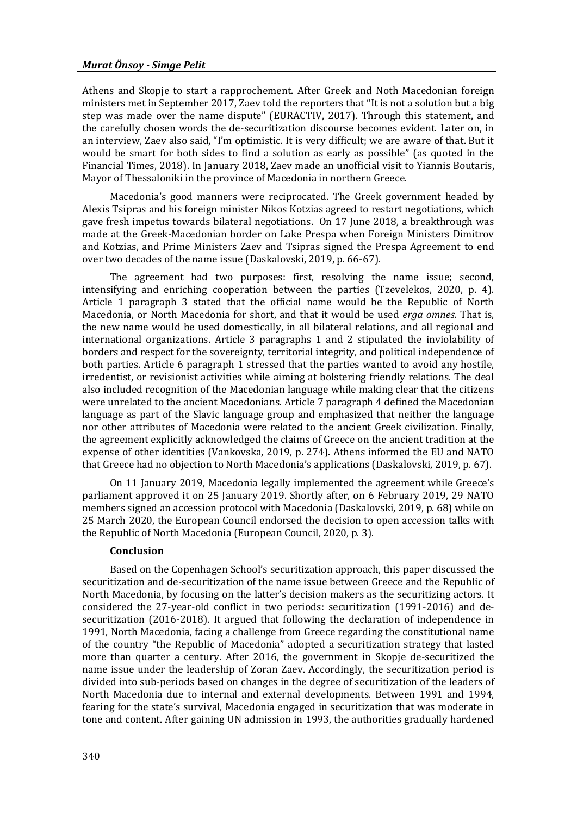Athens and Skopje to start a rapprochement. After Greek and Noth Macedonian foreign ministers met in September 2017, Zaev told the reporters that "It is not a solution but a big step was made over the name dispute" (EURACTIV, 2017). Through this statement, and the carefully chosen words the de-securitization discourse becomes evident. Later on, in an interview, Zaev also said, "I'm optimistic. It is very difficult; we are aware of that. But it would be smart for both sides to find a solution as early as possible" (as quoted in the Financial Times, 2018). In January 2018, Zaev made an unofficial visit to Yiannis Boutaris, Mayor of Thessaloniki in the province of Macedonia in northern Greece.

Macedonia's good manners were reciprocated. The Greek government headed by Alexis Tsipras and his foreign minister Nikos Kotzias agreed to restart negotiations, which gave fresh impetus towards bilateral negotiations. On 17 June 2018, a breakthrough was made at the Greek-Macedonian border on Lake Prespa when Foreign Ministers Dimitrov and Kotzias, and Prime Ministers Zaev and Tsipras signed the Prespa Agreement to end over two decades of the name issue (Daskalovski, 2019, p. 66-67).

The agreement had two purposes: first, resolving the name issue; second, intensifying and enriching cooperation between the parties (Tzevelekos, 2020, p. 4). Article 1 paragraph 3 stated that the official name would be the Republic of North Macedonia, or North Macedonia for short, and that it would be used *erga omnes*. That is, the new name would be used domestically, in all bilateral relations, and all regional and international organizations. Article 3 paragraphs 1 and 2 stipulated the inviolability of borders and respect for the sovereignty, territorial integrity, and political independence of both parties. Article 6 paragraph 1 stressed that the parties wanted to avoid any hostile, irredentist, or revisionist activities while aiming at bolstering friendly relations. The deal also included recognition of the Macedonian language while making clear that the citizens were unrelated to the ancient Macedonians. Article 7 paragraph 4 defined the Macedonian language as part of the Slavic language group and emphasized that neither the language nor other attributes of Macedonia were related to the ancient Greek civilization. Finally, the agreement explicitly acknowledged the claims of Greece on the ancient tradition at the expense of other identities (Vankovska, 2019, p. 274). Athens informed the EU and NATO that Greece had no objection to North Macedonia's applications (Daskalovski, 2019, p. 67).

On 11 January 2019, Macedonia legally implemented the agreement while Greece's parliament approved it on 25 January 2019. Shortly after, on 6 February 2019, 29 NATO members signed an accession protocol with Macedonia (Daskalovski, 2019, p. 68) while on 25 March 2020, the European Council endorsed the decision to open accession talks with the Republic of North Macedonia (European Council, 2020, p. 3).

#### **Conclusion**

Based on the Copenhagen School's securitization approach, this paper discussed the securitization and de-securitization of the name issue between Greece and the Republic of North Macedonia, by focusing on the latter's decision makers as the securitizing actors. It considered the 27-year-old conflict in two periods: securitization (1991-2016) and desecuritization (2016-2018). It argued that following the declaration of independence in 1991, North Macedonia, facing a challenge from Greece regarding the constitutional name of the country "the Republic of Macedonia" adopted a securitization strategy that lasted more than quarter a century. After 2016, the government in Skopje de-securitized the name issue under the leadership of Zoran Zaev. Accordingly, the securitization period is divided into sub-periods based on changes in the degree of securitization of the leaders of North Macedonia due to internal and external developments. Between 1991 and 1994, fearing for the state's survival, Macedonia engaged in securitization that was moderate in tone and content. After gaining UN admission in 1993, the authorities gradually hardened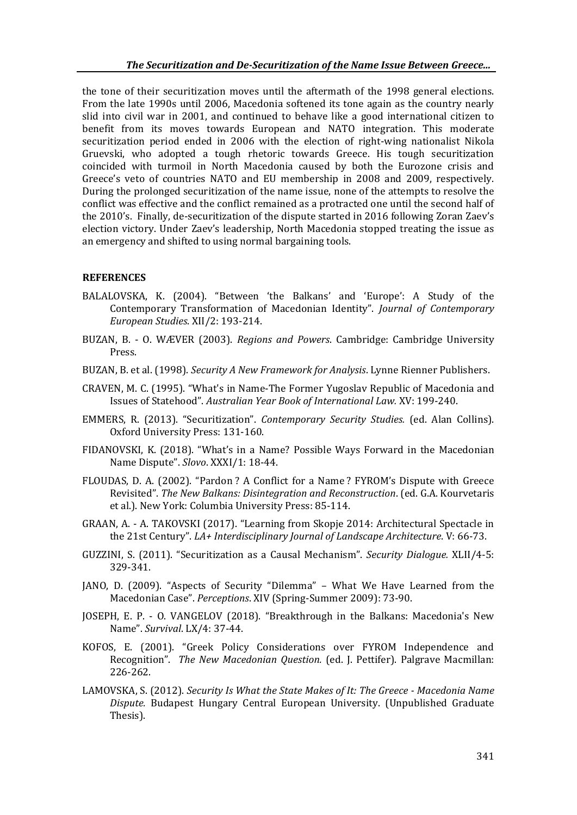the tone of their securitization moves until the aftermath of the 1998 general elections. From the late 1990s until 2006, Macedonia softened its tone again as the country nearly slid into civil war in 2001, and continued to behave like a good international citizen to benefit from its moves towards European and NATO integration. This moderate securitization period ended in 2006 with the election of right-wing nationalist Nikola Gruevski, who adopted a tough rhetoric towards Greece. His tough securitization coincided with turmoil in North Macedonia caused by both the Eurozone crisis and Greece's veto of countries NATO and EU membership in 2008 and 2009, respectively. During the prolonged securitization of the name issue, none of the attempts to resolve the conflict was effective and the conflict remained as a protracted one until the second half of the 2010's. Finally, de-securitization of the dispute started in 2016 following Zoran Zaev's election victory. Under Zaev's leadership, North Macedonia stopped treating the issue as an emergency and shifted to using normal bargaining tools.

#### **REFERENCES**

- BALALOVSKA, K. (2004). "Between 'the Balkans' and 'Europe': A Study of the Contemporary Transformation of Macedonian Identity". *Journal of Contemporary European Studies*. XII/2: 193-214.
- BUZAN, B. O. WÆVER (2003). *Regions and Powers*. Cambridge: Cambridge University Press.
- BUZAN, B. et al. (1998). *Security A New Framework for Analysis*. Lynne Rienner Publishers.
- CRAVEN, M. C. (1995). "What's in Name-The Former Yugoslav Republic of Macedonia and Issues of Statehood". *Australian Year Book of International Law.* XV: 199-240.
- EMMERS, R. (2013). "Securitization". *Contemporary Security Studies.* (ed. Alan Collins). Oxford University Press: 131-160.
- FIDANOVSKI, K. (2018). "What's in a Name? Possible Ways Forward in the Macedonian Name Dispute". *Slovo*. XXXI/1: 18-44.
- FLOUDAS, D. A. (2002). "Pardon ? A Conflict for a Name ? FYROM's Dispute with Greece Revisited". *The New Balkans: Disintegration and Reconstruction*. (ed. G.A. Kourvetaris et al.). New York: Columbia University Press: 85-114.
- GRAAN, A. A. TAKOVSKI (2017). "Learning from Skopje 2014: Architectural Spectacle in the 21st Century". *LA+ Interdisciplinary Journal of Landscape Architecture*. V: 66-73.
- GUZZINI, S. (2011). "Securitization as a Causal Mechanism". *Security Dialogue.* XLII/4-5: 329-341.
- JANO, D. (2009). "Aspects of Security "Dilemma" What We Have Learned from the Macedonian Case". *Perceptions*. XIV (Spring-Summer 2009): 73-90.
- JOSEPH, E. P. O. VANGELOV (2018). "Breakthrough in the Balkans: Macedonia's New Name". *Survival*. LX/4: 37-44.
- KOFOS, E. (2001). "Greek Policy Considerations over FYROM Independence and Recognition". *The New Macedonian Question.* (ed. J. Pettifer). Palgrave Macmillan: 226-262.
- LAMOVSKA, S. (2012). *Security Is What the State Makes of It: The Greece - Macedonia Name Dispute.* Budapest Hungary Central European University. (Unpublished Graduate Thesis).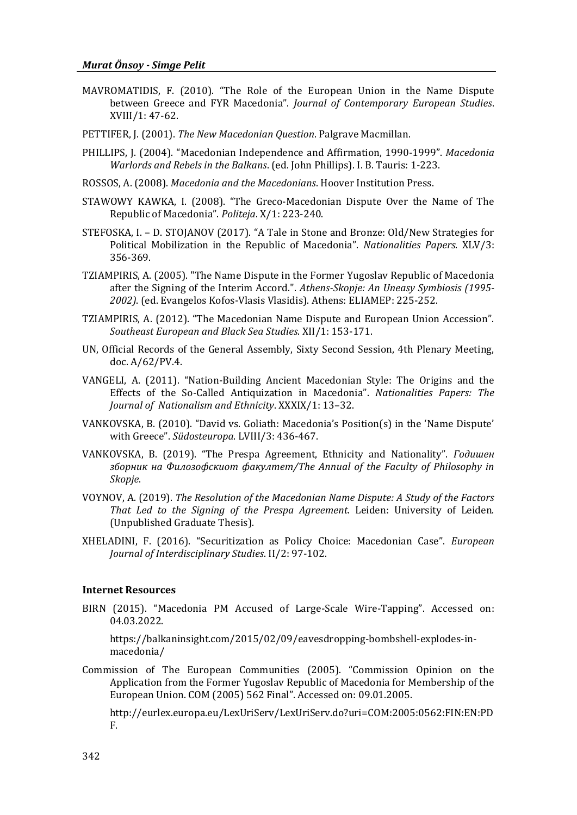- MAVROMATIDIS, F. (2010). "The Role of the European Union in the Name Dispute between Greece and FYR Macedonia". *Journal of Contemporary European Studies*. XVIII/1: 47-62.
- PETTIFER, J. (2001). *The New Macedonian Question*. Palgrave Macmillan.
- PHILLIPS, J. (2004). "Macedonian Independence and Affirmation, 1990-1999". *Macedonia Warlords and Rebels in the Balkans*. (ed. John Phillips). I. B. Tauris: 1-223.
- ROSSOS, A. (2008). *Macedonia and the Macedonians*. Hoover Institution Press.
- STAWOWY KAWKA, I. (2008). "The Greco-Macedonian Dispute Over the Name of The Republic of Macedonia". *Politeja*. X/1: 223-240.
- STEFOSKA, I. D. STOJANOV (2017). "A Tale in Stone and Bronze: Old/New Strategies for Political Mobilization in the Republic of Macedonia". *Nationalities Papers*. XLV/3: 356-369.
- TZIAMPIRIS, A. (2005). "The Name Dispute in the Former Yugoslav Republic of Macedonia after the Signing of the Interim Accord.". *Athens-Skopje: An Uneasy Symbiosis (1995- 2002)*. (ed. Evangelos Kofos-Vlasis Vlasidis). Athens: ELIAMEP: 225-252.
- TZIAMPIRIS, A. (2012). "The Macedonian Name Dispute and European Union Accession". *Southeast European and Black Sea Studies*. XII/1: 153-171.
- UN, Official Records of the General Assembly, Sixty Second Session, 4th Plenary Meeting, doc. A/62/PV.4.
- VANGELI, A. (2011). "Nation-Building Ancient Macedonian Style: The Origins and the Effects of the So-Called Antiquization in Macedonia". *Nationalities Papers: The Journal of Nationalism and Ethnicity*. XXXIX/1: 13–32.
- VANKOVSKA, B. (2010). "David vs. Goliath: Macedonia's Position(s) in the 'Name Dispute' with Greece". *Südosteuropa*. LVIII/3: 436-467.
- VANKOVSKA, B. (2019). "The Prespa Agreement, Ethnicity and Nationality". *Годишен зборник на Филозофскиот факултет/The Annual of the Faculty of Philosophy in Skopje*.
- VOYNOV, A. (2019). *The Resolution of the Macedonian Name Dispute: A Study of the Factors That Led to the Signing of the Prespa Agreement*. Leiden: University of Leiden. (Unpublished Graduate Thesis).
- XHELADINI, F. (2016). "Securitization as Policy Choice: Macedonian Case". *European Journal of Interdisciplinary Studies*. II/2: 97-102.

#### **Internet Resources**

BIRN (2015). "Macedonia PM Accused of Large-Scale Wire-Tapping". Accessed on: 04.03.2022.

https://balkaninsight.com/2015/02/09/eavesdropping-bombshell-explodes-inmacedonia/

Commission of The European Communities (2005). "Commission Opinion on the Application from the Former Yugoslav Republic of Macedonia for Membership of the European Union. COM (2005) 562 Final". Accessed on: 09.01.2005.

http://eurlex.europa.eu/LexUriServ/LexUriServ.do?uri=COM:2005:0562:FIN:EN:PD F.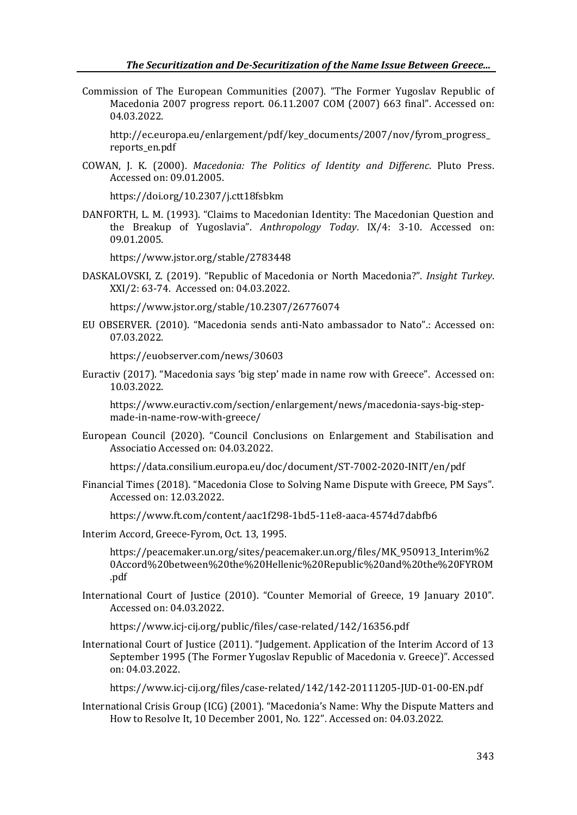Commission of The European Communities (2007). "The Former Yugoslav Republic of Macedonia 2007 progress report. 06.11.2007 COM (2007) 663 final". Accessed on: 04.03.2022.

[http://ec.europa.eu/enlargement/pdf/key\\_documents/2007/nov/fyrom\\_progress\\_](http://ec.europa.eu/enlargement/pdf/key_documents/2007/nov/fyrom_progress_reports_en.pdf) [reports\\_en.pdf](http://ec.europa.eu/enlargement/pdf/key_documents/2007/nov/fyrom_progress_reports_en.pdf)

COWAN, J. K. (2000). *Macedonia: The Politics of Identity and Differenc*. Pluto Press. Accessed on: 09.01.2005.

<https://doi.org/10.2307/j.ctt18fsbkm>

DANFORTH, L. M. (1993). "Claims to Macedonian Identity: The Macedonian Question and the Breakup of Yugoslavia". *Anthropology Today*. IX/4: 3-10. Accessed on: 09.01.2005.

<https://www.jstor.org/stable/2783448>

DASKALOVSKI, Z. (2019). "Republic of Macedonia or North Macedonia?". *Insight Turkey*. XXI/2: 63-74. Accessed on: 04.03.2022.

<https://www.jstor.org/stable/10.2307/26776074>

EU OBSERVER. (2010). "Macedonia sends anti-Nato ambassador to Nato".: Accessed on: 07.03.2022.

https://euobserver.com/news/30603

Euractiv (2017). "Macedonia says 'big step' made in name row with Greece". Accessed on: 10.03.2022.

[https://www.euractiv.com/section/enlargement/news/macedonia-says-big-step](https://www.euractiv.com/section/enlargement/news/macedonia-says-big-step-made-in-name-row-with-greece/)[made-in-name-row-with-greece/](https://www.euractiv.com/section/enlargement/news/macedonia-says-big-step-made-in-name-row-with-greece/)

European Council (2020). "Council Conclusions on Enlargement and Stabilisation and Associatio Accessed on: 04.03.2022.

<https://data.consilium.europa.eu/doc/document/ST-7002-2020-INIT/en/pdf>

Financial Times (2018). "Macedonia Close to Solving Name Dispute with Greece, PM Says". Accessed on: 12.03.2022.

https://www.ft.com/content/aac1f298-1bd5-11e8-aaca-4574d7dabfb6

Interim Accord, Greece-Fyrom, Oct. 13, 1995.

[https://peacemaker.un.org/sites/peacemaker.un.org/files/MK\\_950913\\_Interim%2](https://peacemaker.un.org/sites/peacemaker.un.org/files/MK_950913_Interim%20Accord%20between%20the%20Hellenic%20Republic%20and%20the%20FYROM.pdf) [0Accord%20between%20the%20Hellenic%20Republic%20and%20the%20FYROM](https://peacemaker.un.org/sites/peacemaker.un.org/files/MK_950913_Interim%20Accord%20between%20the%20Hellenic%20Republic%20and%20the%20FYROM.pdf) [.pdf](https://peacemaker.un.org/sites/peacemaker.un.org/files/MK_950913_Interim%20Accord%20between%20the%20Hellenic%20Republic%20and%20the%20FYROM.pdf)

International Court of Justice (2010). "Counter Memorial of Greece, 19 January 2010". Accessed on: 04.03.2022.

<https://www.icj-cij.org/public/files/case-related/142/16356.pdf>

International Court of Justice (2011). "Judgement. Application of the Interim Accord of 13 September 1995 (The Former Yugoslav Republic of Macedonia v. Greece)". Accessed on: 04.03.2022.

<https://www.icj-cij.org/files/case-related/142/142-20111205-JUD-01-00-EN.pdf>

International Crisis Group (ICG) (2001). "Macedonia's Name: Why the Dispute Matters and How to Resolve It, 10 December 2001, No. 122". Accessed on: 04.03.2022.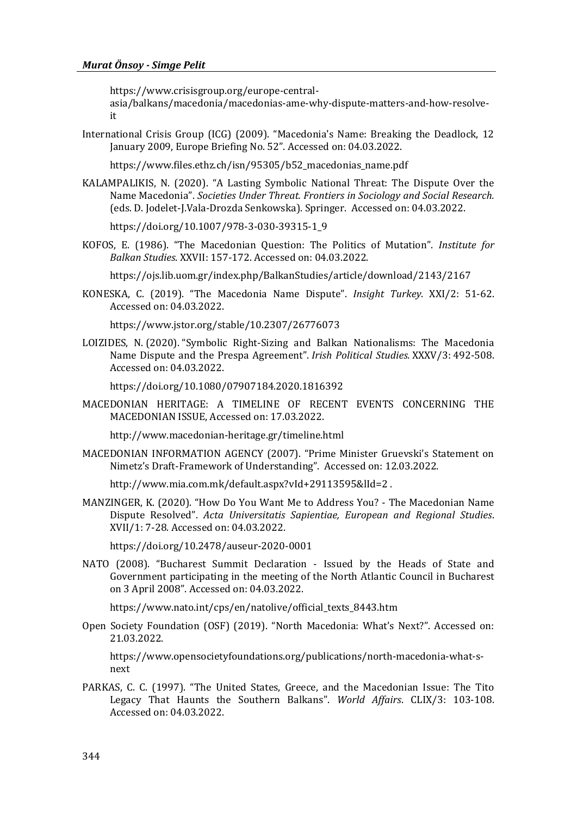https://www.crisisgroup.org/europe-central-

asia/balkans/macedonia/macedonias-ame-why-dispute-matters-and-how-resolveit

International Crisis Group (ICG) (2009). "Macedonia's Name: Breaking the Deadlock, 12 January 2009, Europe Briefing No. 52". Accessed on: 04.03.2022.

https://www.files.ethz.ch/isn/95305/b52\_macedonias\_name.pdf

KALAMPALIKIS, N. (2020). "A Lasting Symbolic National Threat: The Dispute Over the Name Macedonia". *Societies Under Threat. Frontiers in Sociology and Social Research.* (eds. D. Jodelet-J.Vala-Drozda Senkowska). Springer. Accessed on: 04.03.2022.

[https://doi.org/10.1007/978-3-030-39315-1\\_9](https://doi.org/10.1007/978-3-030-39315-1_9)

KOFOS, E. (1986). "The Macedonian Question: The Politics of Mutation". *Institute for Balkan Studies*. XXVII: 157-172. Accessed on: 04.03.2022.

<https://ojs.lib.uom.gr/index.php/BalkanStudies/article/download/2143/2167>

KONESKA, C. (2019). "The Macedonia Name Dispute". *Insight Turkey*. XXI/2: 51-62. Accessed on: 04.03.2022.

<https://www.jstor.org/stable/10.2307/26776073>

LOIZIDES, N. (2020). "Symbolic Right-Sizing and Balkan Nationalisms: The Macedonia Name Dispute and the Prespa Agreement". *Irish Political Studies.* XXXV/3: 492-508. Accessed on: 04.03.2022.

https://doi.org[/10.1080/07907184.2020.1816392](https://doi.org/10.1080/07907184.2020.1816392)

MACEDONIAN HERITAGE: A TIMELINE OF RECENT EVENTS CONCERNING THE MACEDONIAN ISSUE, Accessed on: 17.03.2022.

<http://www.macedonian-heritage.gr/timeline.html>

MACEDONIAN INFORMATION AGENCY (2007). "Prime Minister Gruevski's Statement on Nimetz's Draft-Framework of Understanding". Accessed on: 12.03.2022.

http://www.mia.com.mk/default.aspx?vId+29113595&lId=2 .

MANZINGER, K. (2020). "How Do You Want Me to Address You? - The Macedonian Name Dispute Resolved". *Acta Universitatis Sapientiae, European and Regional Studies*. XVII/1: 7-28. Accessed on: 04.03.2022.

<https://doi.org/10.2478/auseur-2020-0001>

NATO (2008). "Bucharest Summit Declaration - Issued by the Heads of State and Government participating in the meeting of the North Atlantic Council in Bucharest on 3 April 2008". Accessed on: 04.03.2022.

[https://www.nato.int/cps/en/natolive/official\\_texts\\_8443.htm](https://www.nato.int/cps/en/natolive/official_texts_8443.htm)

Open Society Foundation (OSF) (2019). "North Macedonia: What's Next?". Accessed on: 21.03.2022.

https://www.opensocietyfoundations.org/publications/north-macedonia-what-snext

PARKAS, C. C. (1997). "The United States, Greece, and the Macedonian Issue: The Tito Legacy That Haunts the Southern Balkans". *World Affairs*. CLIX/3: 103-108. Accessed on: 04.03.2022.